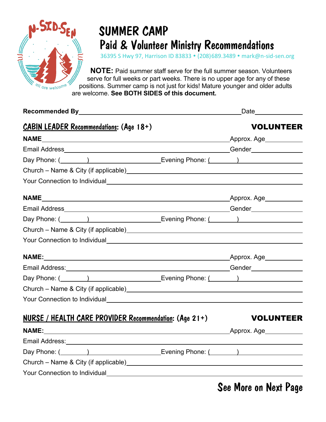

## SUMMER CAMP Paid & Volunteer Ministry Recommendations

36395 S Hwy 97, Harrison ID 83833 (208)689.3489 mark@n-sid-sen.org

**NOTE:** Paid summer staff serve for the full summer season. Volunteers serve for full weeks or part weeks. There is no upper age for any of these positions. Summer camp is not just for kids! Mature younger and older adults are welcome. **See BOTH SIDES of this document.**

| Recommended By Party and Commended By Party and Commended By Party and Commended By Party and Commended By                                                                                                                           |  | _Date_______________   |
|--------------------------------------------------------------------------------------------------------------------------------------------------------------------------------------------------------------------------------------|--|------------------------|
| <b>CABIN LEADER Recommendations: (Age 18+)</b>                                                                                                                                                                                       |  | <b>VOLUNTEER</b>       |
|                                                                                                                                                                                                                                      |  |                        |
|                                                                                                                                                                                                                                      |  |                        |
| Day Phone: ( and ) and Evening Phone: ( and ) and 2014 ( and 2014) and 2014 ( 2015) and 2016 ( 2016) and 2016                                                                                                                        |  |                        |
|                                                                                                                                                                                                                                      |  |                        |
|                                                                                                                                                                                                                                      |  |                        |
|                                                                                                                                                                                                                                      |  |                        |
|                                                                                                                                                                                                                                      |  |                        |
| Day Phone: ( and The Levening Phone: ( and The Levening Phone: ( and The Levening Phone: ( and The Levening Phone: ( and The Levening Phone: ( and The Levening Phone: ( and The Levening Phone: ( and The Levening Phone: ( a       |  |                        |
|                                                                                                                                                                                                                                      |  |                        |
|                                                                                                                                                                                                                                      |  |                        |
|                                                                                                                                                                                                                                      |  |                        |
|                                                                                                                                                                                                                                      |  |                        |
| Day Phone: ( and The Levening Phone: ( and Thomas Contains Phone: ( and Thomas Contains Phone: ( and Thomas Contains Phone: ( and Thomas Contains Phone: ( and Thomas Contains Phone: ( and Thomas Contains Phone: ( and Thoma       |  |                        |
|                                                                                                                                                                                                                                      |  |                        |
|                                                                                                                                                                                                                                      |  |                        |
| <b>NURSE / HEALTH CARE PROVIDER Recommendation: (Age 21+)</b>                                                                                                                                                                        |  | <b>STATE VOLUNTEER</b> |
|                                                                                                                                                                                                                                      |  |                        |
|                                                                                                                                                                                                                                      |  |                        |
| Day Phone: (Channel Assembly Day Phone: (Channel Assembly Phone: (Channel Assembly Phone: (Channel Assembly Phone                                                                                                                    |  |                        |
|                                                                                                                                                                                                                                      |  |                        |
| <b>The Vour Connection to Individual According to the Connection Connection Connection Connection Connection Connection Connection Connection Connection Connection Connection Connection Connection Connection Connection Conne</b> |  |                        |
|                                                                                                                                                                                                                                      |  |                        |

See More on Next Page